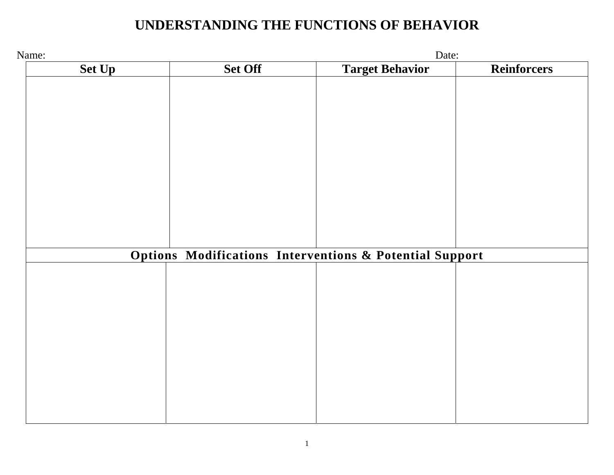## **UNDERSTANDING THE FUNCTIONS OF BEHAVIOR**

| Name:         |                                                                    | Date:                  |                    |
|---------------|--------------------------------------------------------------------|------------------------|--------------------|
| <b>Set Up</b> | <b>Set Off</b>                                                     | <b>Target Behavior</b> | <b>Reinforcers</b> |
|               |                                                                    |                        |                    |
|               |                                                                    |                        |                    |
|               |                                                                    |                        |                    |
|               |                                                                    |                        |                    |
|               |                                                                    |                        |                    |
|               |                                                                    |                        |                    |
|               |                                                                    |                        |                    |
|               |                                                                    |                        |                    |
|               |                                                                    |                        |                    |
|               |                                                                    |                        |                    |
|               |                                                                    |                        |                    |
|               |                                                                    |                        |                    |
|               |                                                                    |                        |                    |
|               | <b>Options Modifications Interventions &amp; Potential Support</b> |                        |                    |
|               |                                                                    |                        |                    |
|               |                                                                    |                        |                    |
|               |                                                                    |                        |                    |
|               |                                                                    |                        |                    |
|               |                                                                    |                        |                    |
|               |                                                                    |                        |                    |
|               |                                                                    |                        |                    |
|               |                                                                    |                        |                    |
|               |                                                                    |                        |                    |
|               |                                                                    |                        |                    |
|               |                                                                    |                        |                    |
|               |                                                                    |                        |                    |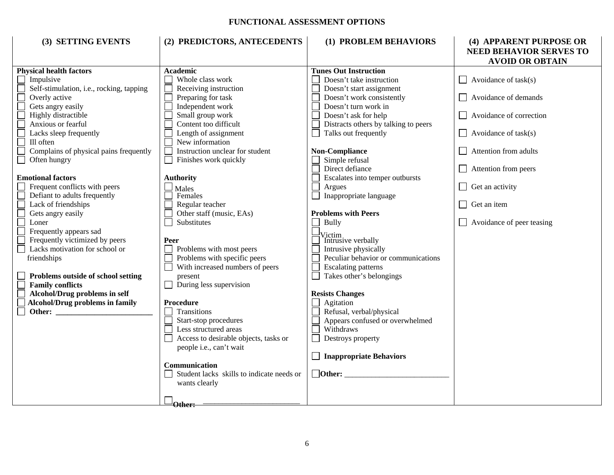## **FUNCTIONAL ASSESSMENT OPTIONS**

| (3) SETTING EVENTS                                                                                                                                                                                                                                                                                                           | (2) PREDICTORS, ANTECEDENTS                                                                                                                                                                                                                              | (1) PROBLEM BEHAVIORS                                                                                                                                                                                                                                                      | (4) APPARENT PURPOSE OR<br>NEED BEHAVIOR SERVES TO                                                                                                          |
|------------------------------------------------------------------------------------------------------------------------------------------------------------------------------------------------------------------------------------------------------------------------------------------------------------------------------|----------------------------------------------------------------------------------------------------------------------------------------------------------------------------------------------------------------------------------------------------------|----------------------------------------------------------------------------------------------------------------------------------------------------------------------------------------------------------------------------------------------------------------------------|-------------------------------------------------------------------------------------------------------------------------------------------------------------|
|                                                                                                                                                                                                                                                                                                                              |                                                                                                                                                                                                                                                          |                                                                                                                                                                                                                                                                            | <b>AVOID OR OBTAIN</b>                                                                                                                                      |
| <b>Physical health factors</b><br>Impulsive<br>Self-stimulation, i.e., rocking, tapping<br>Overly active<br>Gets angry easily<br>Highly distractible<br>Anxious or fearful<br>Lacks sleep frequently<br>Ill often<br>Complains of physical pains frequently                                                                  | <b>Academic</b><br>Whole class work<br>Receiving instruction<br>Preparing for task<br>Independent work<br>Small group work<br>Content too difficult<br>Length of assignment<br>New information<br>Instruction unclear for student                        | <b>Tunes Out Instruction</b><br>Doesn't take instruction<br>Doesn't start assignment<br>Doesn't work consistently<br>Doesn't turn work in<br>Doesn't ask for help<br>Distracts others by talking to peers<br>Talks out frequently<br><b>Non-Compliance</b>                 | $\Box$ Avoidance of task(s)<br>$\Box$ Avoidance of demands<br>$\Box$ Avoidance of correction<br>$\Box$ Avoidance of task(s)<br>$\Box$ Attention from adults |
| Often hungry                                                                                                                                                                                                                                                                                                                 | Finishes work quickly                                                                                                                                                                                                                                    | Simple refusal<br>Direct defiance                                                                                                                                                                                                                                          | $\Box$ Attention from peers                                                                                                                                 |
| <b>Emotional factors</b><br>Frequent conflicts with peers<br>Defiant to adults frequently<br>Lack of friendships<br>Gets angry easily<br>Loner<br>Frequently appears sad<br>Frequently victimized by peers<br>Lacks motivation for school or<br>friendships<br>Problems outside of school setting                            | <b>Authority</b><br>$\mathbf{\underline{u}}$ Males<br>Females<br>Regular teacher<br>Other staff (music, EAs)<br>Substitutes<br>Peer<br>Problems with most peers<br>Problems with specific peers<br>With increased numbers of peers<br>$\Box$<br>present  | Escalates into temper outbursts<br>Argues<br>Inappropriate language<br><b>Problems with Peers</b><br><b>Bully</b><br>Victim<br>Intrusive verbally<br>Intrusive physically<br>Peculiar behavior or communications<br><b>Escalating patterns</b><br>Takes other's belongings | $\Box$ Get an activity<br>Get an item<br>$\Box$<br>$\Box$ Avoidance of peer teasing                                                                         |
| <b>Family conflicts</b><br>Alcohol/Drug problems in self<br>Alcohol/Drug problems in family<br>Other: We are the contract of the contract of the contract of the contract of the contract of the contract of the contract of the contract of the contract of the contract of the contract of the contract of the contract of | During less supervision<br>Procedure<br>Transitions<br>Start-stop procedures<br>Less structured areas<br>Access to desirable objects, tasks or<br>people i.e., can't wait<br>Communication<br>Student lacks skills to indicate needs or<br>wants clearly | <b>Resists Changes</b><br>Agitation<br>Refusal, verbal/physical<br>Appears confused or overwhelmed<br>Withdraws<br>Destroys property<br><b>Inappropriate Behaviors</b><br>$\Box$ Other:                                                                                    |                                                                                                                                                             |
|                                                                                                                                                                                                                                                                                                                              | $\Box_{\text{Other}}$                                                                                                                                                                                                                                    |                                                                                                                                                                                                                                                                            |                                                                                                                                                             |